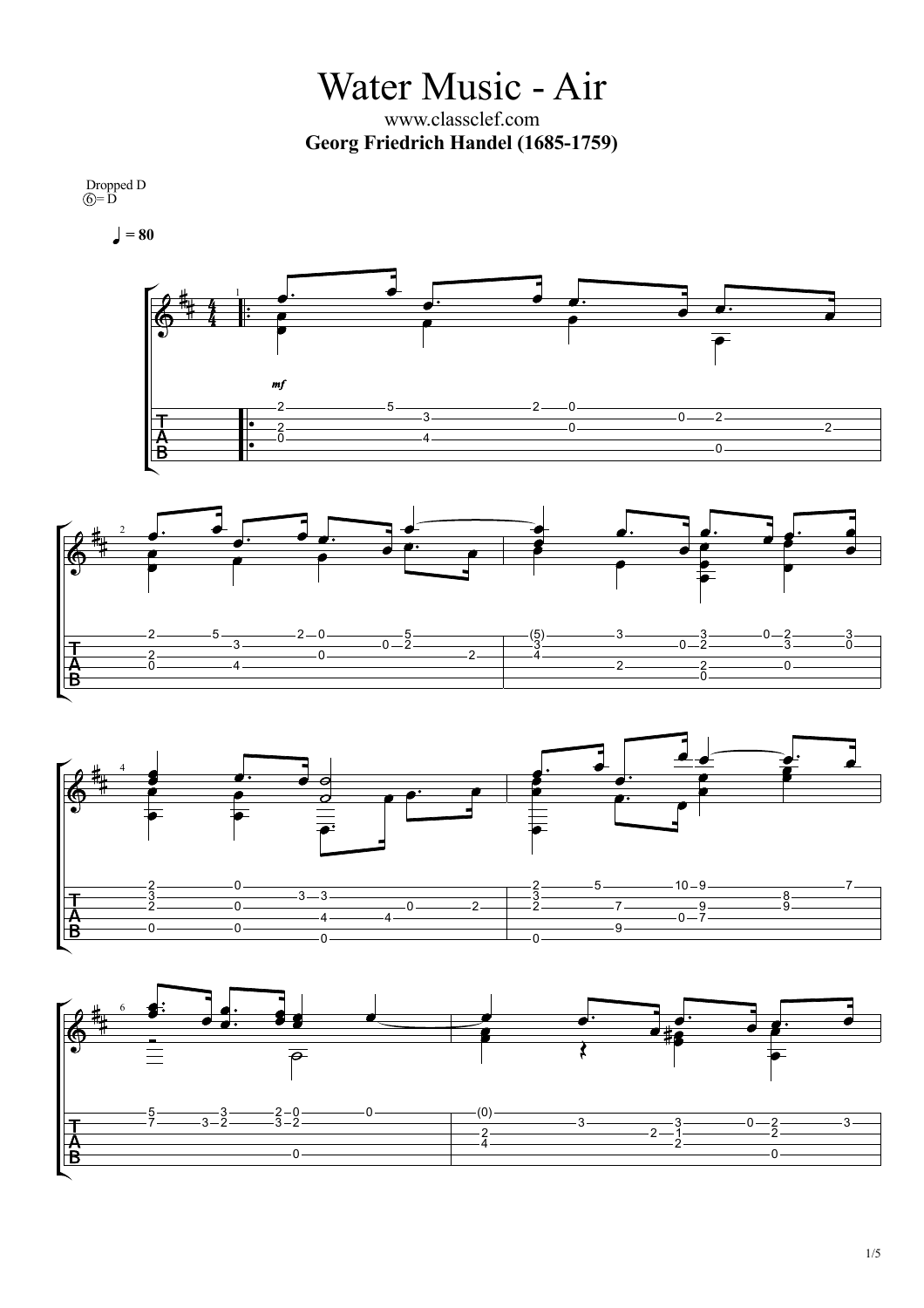Water Music - Air www.classclef.com **Georg Friedrich Handel (1685-1759)**

Dropped D  $\widehat{O} = \overline{D}$ 

 $= 80$ 







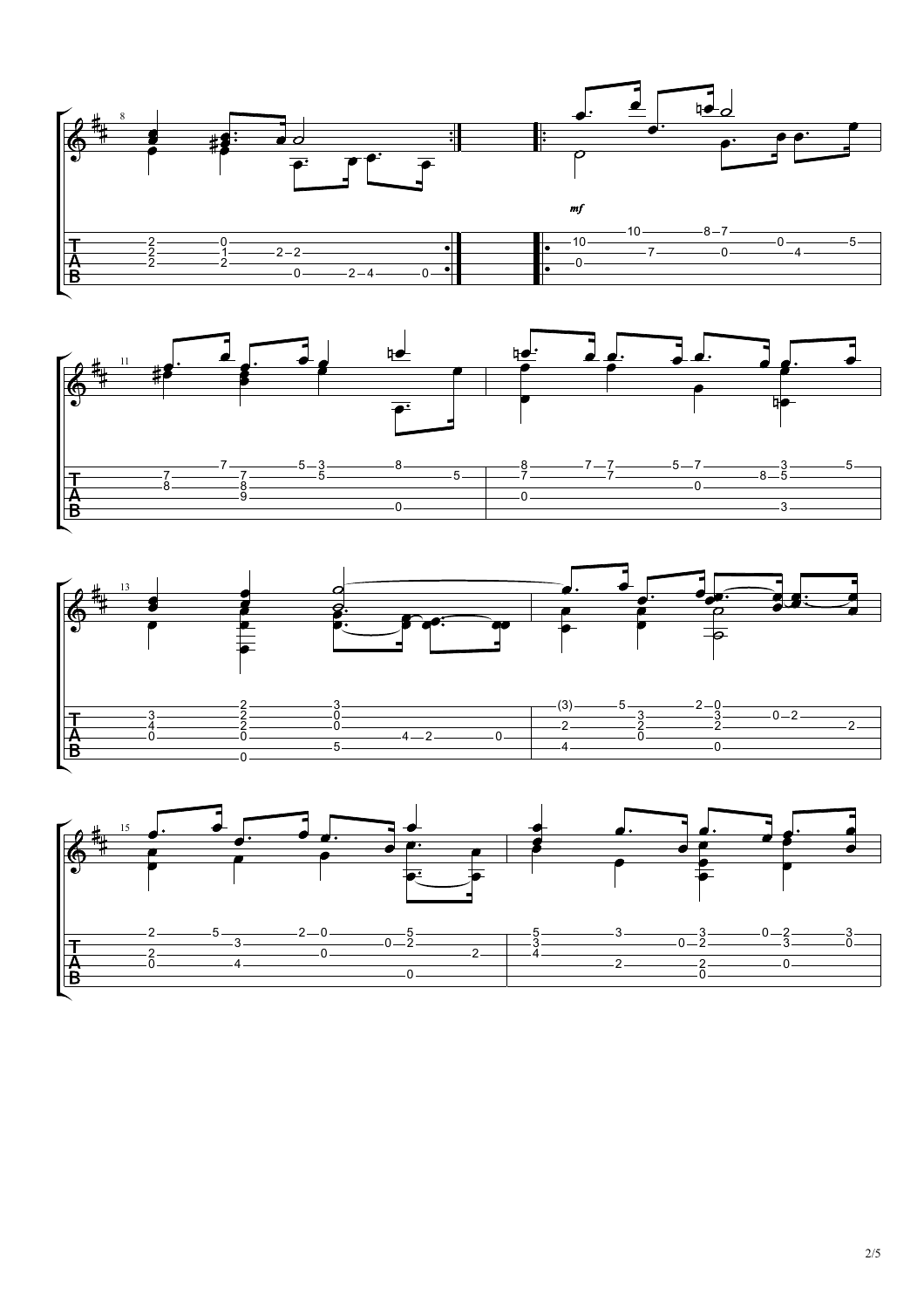





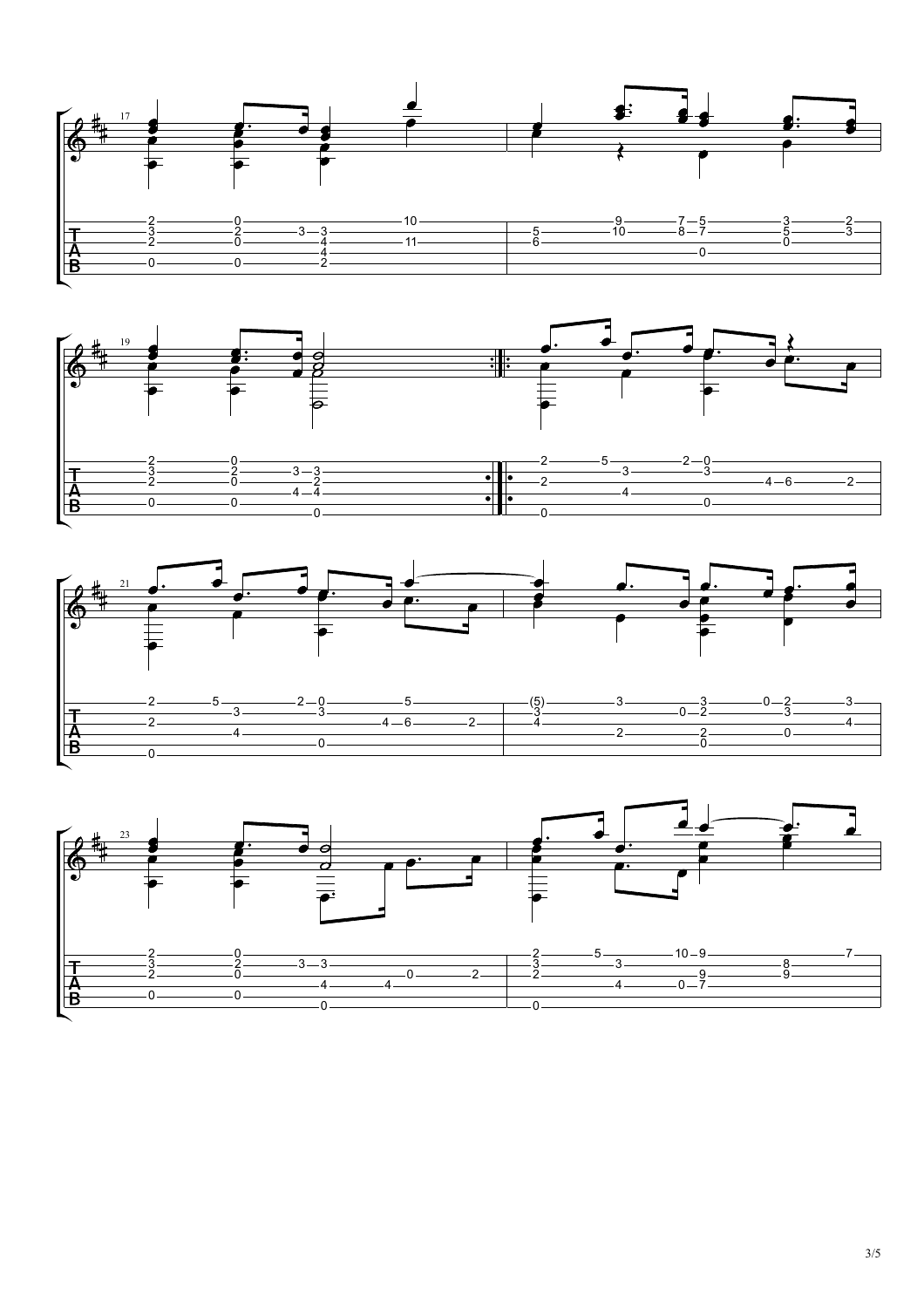





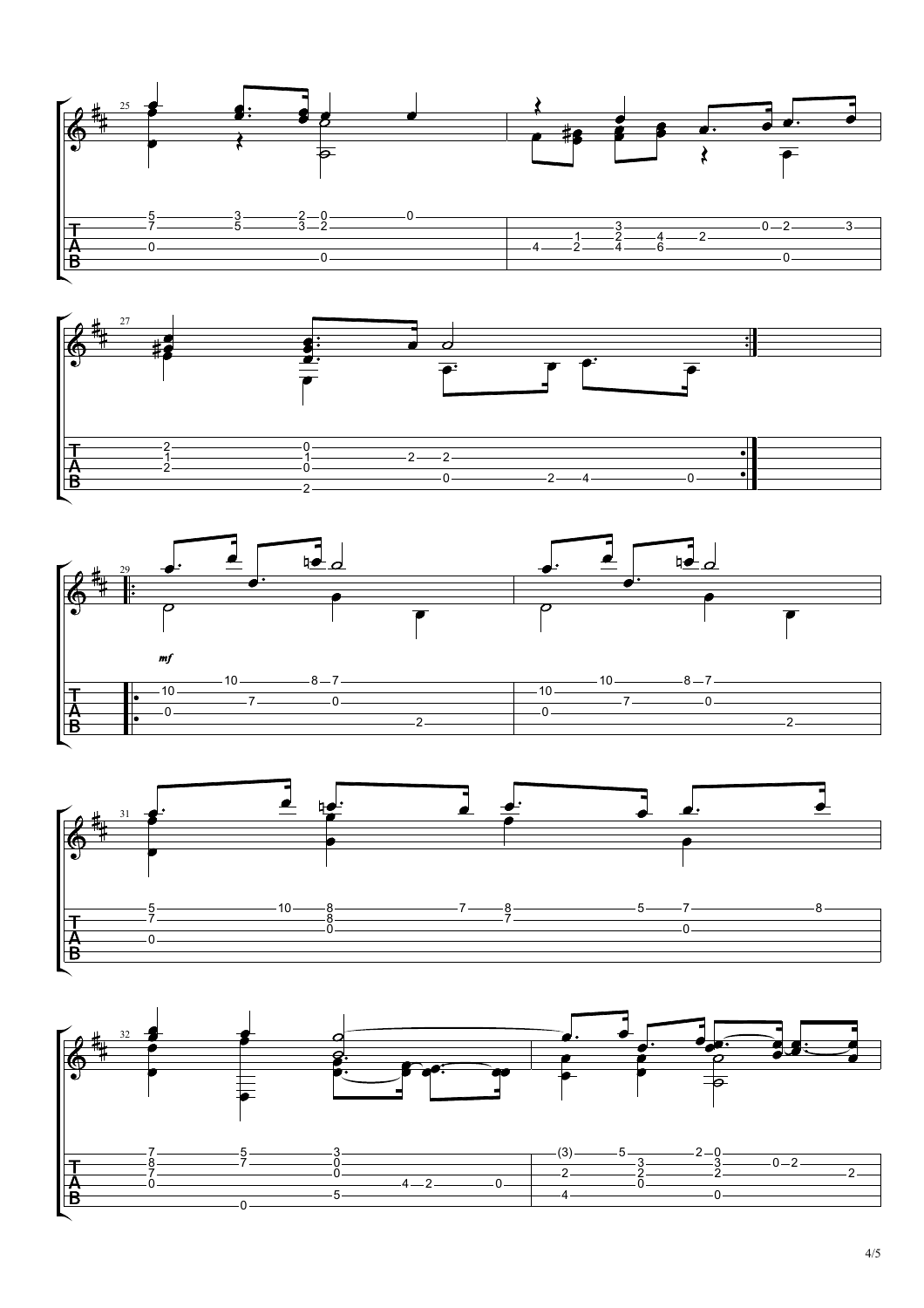